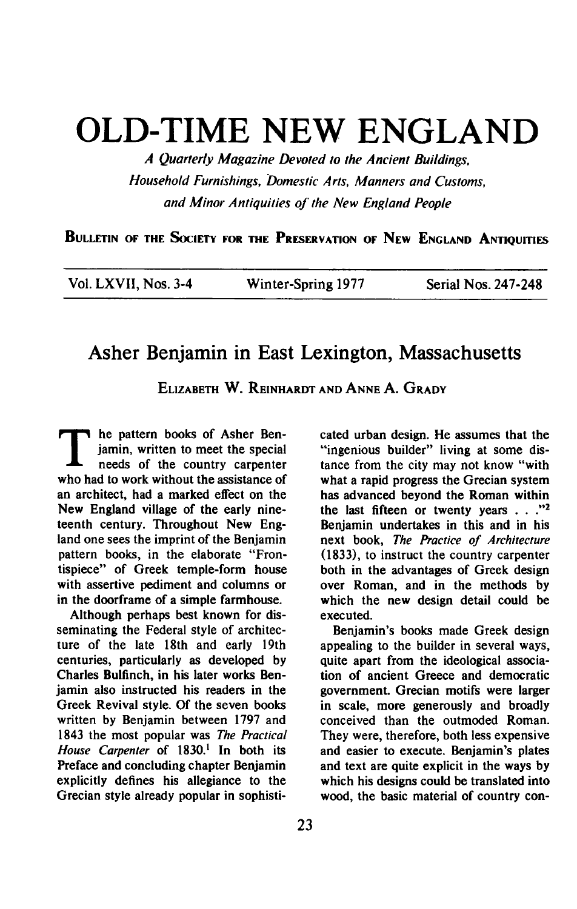## **OLD-TIME NEW ENGLAND**

**A Quarterly Magazine Devoted to the Ancient Buildings, Household Furnishings, Domestic Arts, Manners and Customs, and Minor Antiquities of' the New England People** 

**BULLETIN OF THE SOCIETY FOR THE PRESERVATION OF NEW ENGLAND ANTIQUITIES** 

| Vol. LXVII, Nos. 3-4 | Winter-Spring 1977 | Serial Nos. 247-248 |
|----------------------|--------------------|---------------------|
|----------------------|--------------------|---------------------|

## **Asher Benjamin in East Lexington, Massachusetts**

**ELIZABETH W. REINHARDT AND ANNE A. GRADY** 

**T he pattern books of Asher Ben-**<br>
jamin, written to meet the special<br>
needs of the country carpenter **jamin, written to meet the special needs of the country carpenter who had to work without the assistance of an architect, had a marked effect on the New England village of the early nineteenth century. Throughout New England one sees the imprint of the Benjamin pattern books, in the elaborate "Frontispiece" of Greek temple-form house with assertive pediment and columns or in the doorframe of a simple farmhouse.** 

**Although perhaps best known for disseminating the Federal style of architecture of the late 18th and early 19th centuries, particularly as developed by Charles Bulfinch, in his later works Benjamin also instructed his readers in the Greek Revival style. Of the seven books written by Benjamin between 1797 and 1843 the most popular was The Practical House Carpenter of 1830.' In both its Preface and concluding chapter Benjamin explicitly defines his allegiance to the Grecian style already popular in sophisti-** **cated urban design. He assumes that the "ingenious builder" living at some distance from the city may not know "with what a rapid progress the Grecian system has advanced beyond the Roman within**  the last fifteen or twenty years . . .<sup>72</sup> **Benjamin undertakes in this and in his next book, The Practice of Architecture (1833), to instruct the country carpenter both in the advantages of Greek design over Roman, and in the methods by which the new design detail could be executed.** 

**Benjamin's books made Greek design appealing to the builder in several ways, quite apart from the ideological association of ancient Greece and democratic government. Grecian motifs were larger in scale, more generously and broadly conceived than the outmoded Roman. They were, therefore, both less expensive and easier to execute. Benjamin's plates and text are quite explicit in the ways by which his designs could be translated into wood, the basic material of country con-**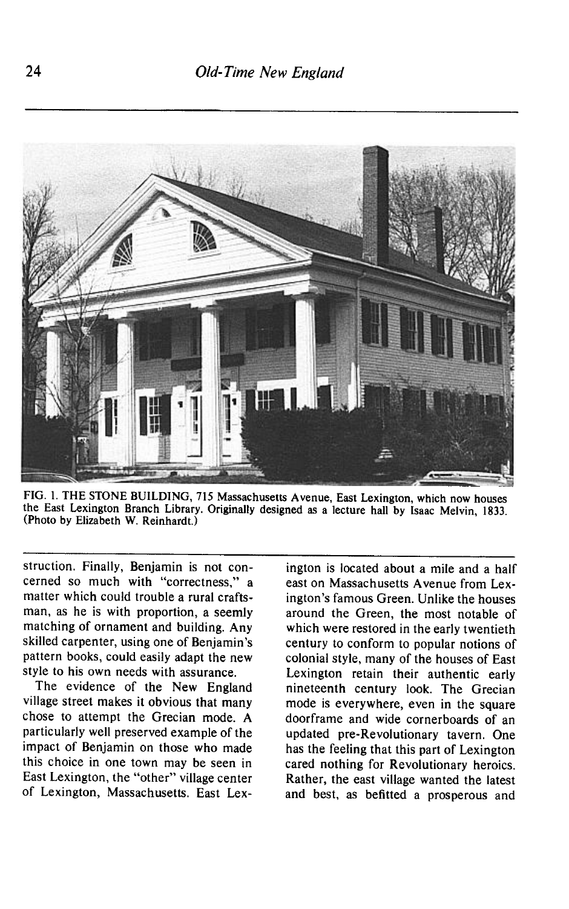

**FIG. 1. THE STONE BUILDING, 715 Massachusetts Avenue, East Lexington, which now houses the East Lexington Branch Library. Originally designed as a lecture hall by Isaac Melvin, 1833. (Photo by Elizabeth W. Reinhardt.)** 

**struction. Finally, Benjamin is not concerned so much with "correctness," a matter which could trouble a rural craftsman, as he is with proportion, a seemly matching of ornament and building. Any skilled carpenter, using one of Benjamin's pattern books, could easily adapt the new style to his own needs with assurance.** 

**The evidence of the New England village street makes it obvious that many chose to attempt the Grecian mode. A particularly well preserved example of the impact of Benjamin on those who made this choice in one town may be seen in East Lexington, the "other" village center of Lexington, Massachusetts. East Lex-** **ington is located about a mile and a half east on Massachusetts Avenue from Lexington's famous Green. Unlike the houses around the Green, the most notable of which were restored in the early twentieth century to conform to popular notions of colonial style, many of the houses of East Lexington retain their authentic early nineteenth century look. The Grecian mode is everywhere, even in the square doorframe and wide cornerboards of an updated pre-Revolutionary tavern. One has the feeling that this part of Lexington cared nothing for Revolutionary heroics. Rather, the east village wanted the latest and best, as befitted a prosperous and**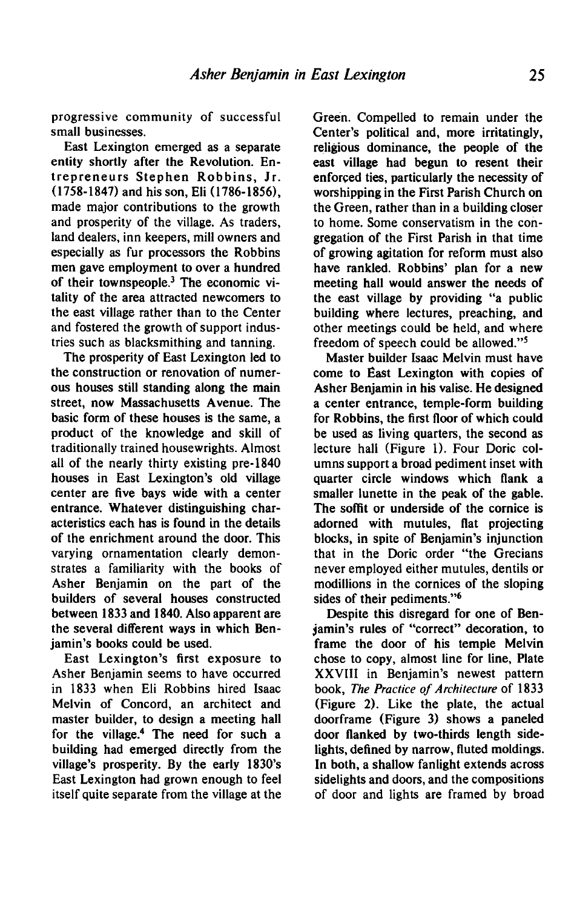**progressive community of successful small businesses.** 

**East Lexington emerged as a separate entity shortly after the Revolution. Entrepreneurs Stephen Robbins, Jr.**  (1758-1847) and his son, Eli (1786-1856), **made major contributions to the growth and prosperity of the village. As traders, land dealers, inn keepers, mill owners and especially as fur processors the Robbins men gave employment to over a hundred of their townspeople.3 The economic vitality of the area attracted newcomers to the east village rather than to the Center and fostered the growth of support industries such as blacksmithing and tanning.** 

**The prosperity of East Lexington led to the construction or renovation of numerous houses still standing along the main street, now Massachusetts Avenue. The basic form of these houses is the same, a product of the knowledge and skill of traditionally trained housewrights. Almost all of the nearly thirty existing pre-1840 houses in East Lexington's old village center are five bays wide with a center entrance. Whatever distinguishing characteristics each has is found in the details of the enrichment around the door. This varying ornamentation clearly demonstrates a familiarity with the books of Asher Benjamin on the part of the builders of several houses constructed between 1833 and 1840. Also apparent are the several different ways in which Benjamin's books could be used.** 

**East Lexington's first exposure to Asher Benjamin seems to have occurred in 1833 when Eli Robbins hired Isaac Melvin of Concord, an architect and master builder, to design a meeting hall for the village.4 The need for such a building had emerged directly from the village's prosperity. By the early 1830's East Lexington had grown enough to feel itself quite separate from the village at the**  **Green. Compelled to remain under the Center's political and, more irritatingly, religious dominance, the people of the east village had begun to resent their enforced ties, particularly the necessity of worshipping in the First Parish Church on the Green, rather than in a building closer to home. Some conservatism in the congregation of the First Parish in that time of growing agitation for reform must also have rankled. Robbins' plan for a new meeting hall would answer the needs of the east village by providing "a public building where lectures, preaching, and other meetings could be held, and where freedom of speech could be allowed."5** 

**Master builder Isaac Melvin must have come to East Lexington with copies of Asher Benjamin in his valise. He designed a center entrance, temple-form building for Robbins, the first floor of which could be used as living quarters, the second as lecture hall (Figure 1). Four Doric columns support a broad pediment inset with quarter circle windows which flank a smaller lunette in the peak of the gable. The soffit or underside of the cornice is adorned with mutules, flat projecting blocks, in spite of Benjamin's injunction that in the Doric order "the Grecians never employed either mutules, dentils or modillions in the cornices of the sloping sides of their pediments."6** 

**Despite this disregard for one of Benjamin's rules of "correct" decoration, to frame the door of his temple Melvin chose to copy, almost line for line, Plate XXVIII in Benjamin's newest pattern book, The Practice of Architecture of 1833 (Figure 2). Like the plate, the actual doorframe (Figure 3) shows a paneled door flanked by two-thirds length sidelights, defined by narrow, fluted moldings. In both, a shallow fanlight extends across sidelights and doors, and the compositions of door and lights are framed by broad**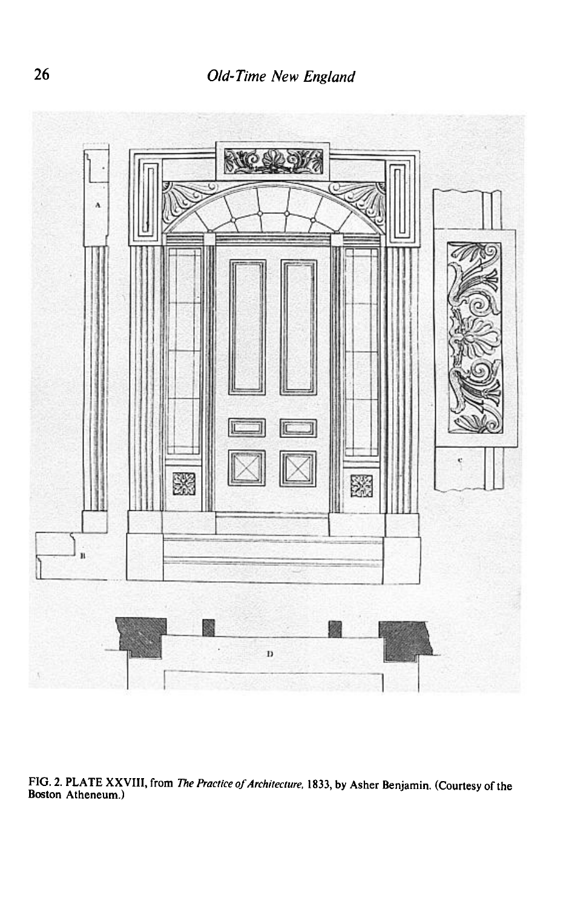

**FIG. 2. PLATE XXVIII, from The Practice of Architecture, 1833, by Asher Benjamin. (Courtesy of the Boston Atheneum.)**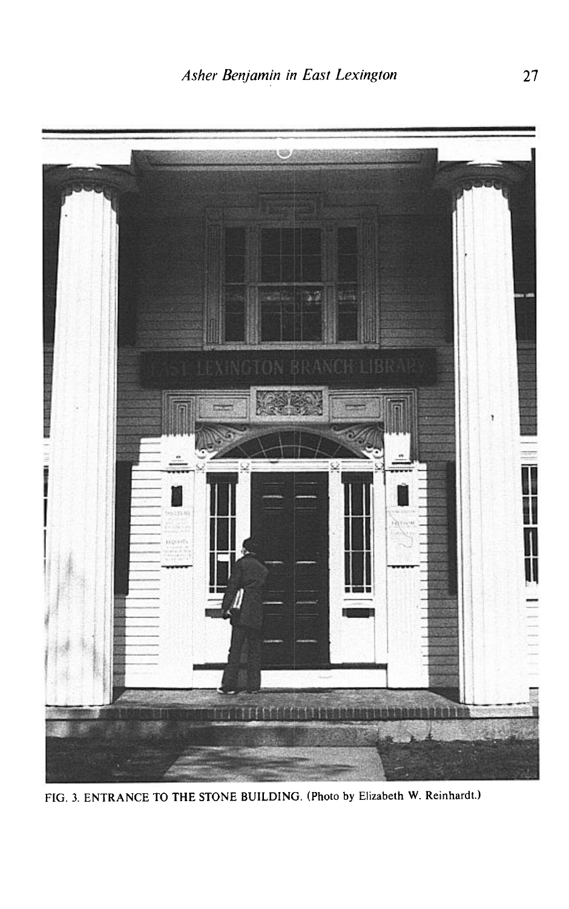

**FIG. 3. ENTRANCE TO THE STONE BUILDING. (Photo by Elizabeth W. Reinhardt.)**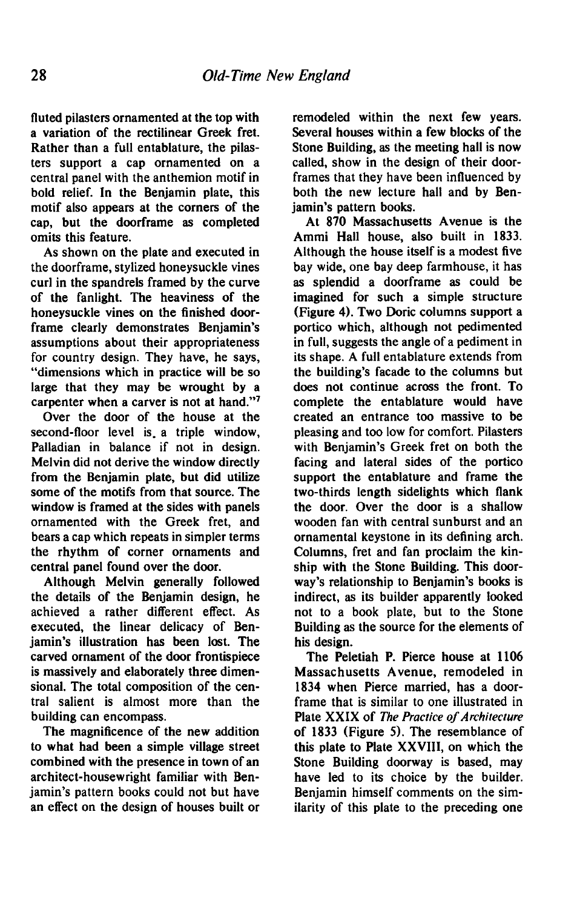**fluted pilasters ornamented at the top with a variation of the rectilinear Greek fret. Rather than a full entablature, the pilasters support a cap ornamented on a central panel with the anthemion motif in bold relief. In the Benjamin plate, this motif also appears at the corners of the cap, but the doorframe as completed omits this feature.** 

**As shown on the plate and executed in the doorframe, stylized honeysuckle vines curl in the spandrels framed by the curve of the fanlight. The heaviness of the honeysuckle vines on the finished doorframe clearly demonstrates Benjamin's assumptions about their appropriateness for country design. They have, he says, "dimensions which in practice will be so large that they may be wrought by a carpenter when a carver is not at hand."7** 

**Over the door of the house at the second-floor level is. a triple window, Palladian in balance if not in design. Melvin did not derive the window directly from the Benjamin plate, but did utilize some of the motifs from that source. The window is framed at the sides with panels ornamented with the Greek fret, and bears a cap which repeats in simpler terms the rhythm of corner ornaments and central panel found over the door.** 

**Although Melvin generally followed the details of the Benjamin design, he achieved a rather different effect. As executed, the linear delicacy of Benjamin's illustration has been lost. The carved ornament of the door frontispiece is massively and elaborately three dimensional. The total composition of the central salient is almost more than the building can encompass.** 

**The magnificence of the new addition to what had been a simple village street combined with the presence in town of an architect-housewright familiar with Benjamin's pattern books could not but have an effect on the design of houses built or**  **remodeled within the next few years. Several houses within a few blocks of the Stone Building, as the meeting hall is now called, show in the design of their doorframes that they have been influenced by both the new lecture hall and by Benjamin's pattern books.** 

**At 870 Massachusetts Avenue is the Ammi Hall house, also built in 1833. Although the house itself is a modest five bay wide, one bay deep farmhouse, it has as splendid a doorframe as could be imagined for such a simple structure (Figure 4). Two Doric columns support a portico which, although not pedimented in full, suggests the angle of a pediment in its shape. A full entablature extends from the building's facade to the columns but does not continue across the front. To complete the entablature would have created an entrance too massive to be pleasing and too low for comfort. Pilasters with Benjamin's Greek fret on both the facing and lateral sides of the portico support the entablature and frame the two-thirds length sidelights which flank the door. Over the door is a shallow wooden fan with central sunburst and an ornamental keystone in its defining arch. Columns, fret and fan proclaim the kinship with the Stone Building. This doorway's relationship to Benjamin's books is indirect, as its builder apparently looked not to a book plate, but to the Stone Building as the source for the elements of his design.** 

**The Peletiah P. Pierce house at 1106 Massachusetts Avenue, remodeled in 1834 when Pierce married, has a doorframe that is similar to one illustrated in Plate XXIX of The Practice of Architecture of 1833 (Figure 5). The resemblance of this plate to Plate XXVIII, on which the Stone Building doorway is based, may have led to its choice by the builder. Benjamin himself comments on the similarity of this plate to the preceding one**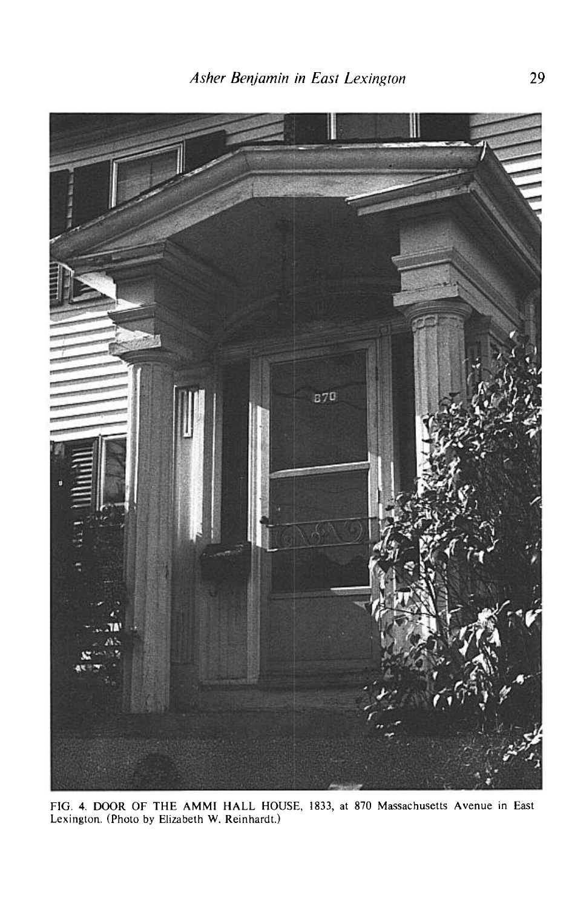

**FIG. 4. DOOR OF THE AMMI HALL HOUSE, 1833, at 870 Massachusetts Avenue in East Lexington. (Photo by Elizabeth W. Reinhardt.)**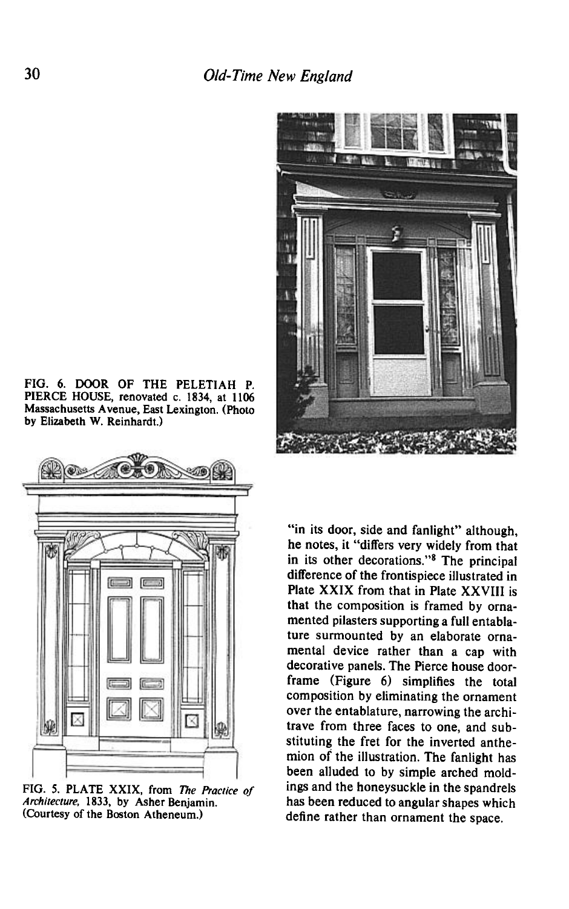



FIG. 5. PLATE XXIX, from The Practice of **Architecture, 1833, by Asher Benjamin. (Courtesy of the Boston Atheneum.)** 



**"in its door, side and fanlight" although, he notes, it "differs very widely from that in its other decorations."\* The principal difference of the frontispiece illustrated in Plate XXIX from that in Plate XXVIII is that the composition is framed by orna**mented pilasters supporting a full entabla**ture surmounted by an elaborate ornamental device rather than a cap with decorative panels. The Pierce house doorframe (Figure 6) simplifies the total composition by eliminating the ornament over the entablature, narrowing the architrave from three faces to one, and substituting the fret for the inverted anthemion of the illustration. The fanlight has been alluded to by simple arched moldings and the honeysuckle in the spandrels has been reduced to angular shapes which define rather than ornament the space.**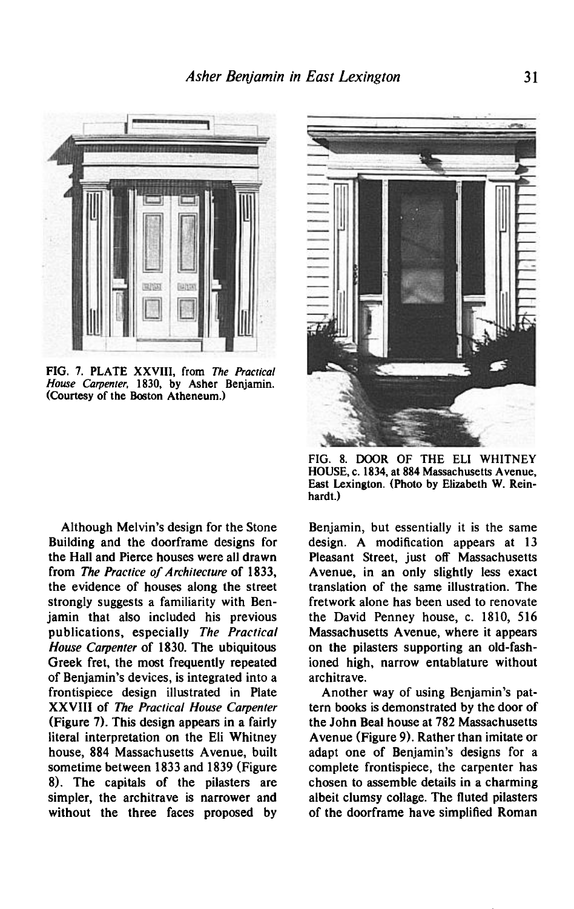

FIG. 7. PLATE XXVIII, from The Practical **House Carpenter, 1830, by Asher Benjamin. (Courtesy of the Boston Atheneum.)** 

**Although Melvin's design for the Stone Building and the doorframe designs for the Hall and Pierce houses were all drawn from The Practice of Architecture of 1833, the evidence of houses along the street strongly suggests a familiarity with Benjamin that also included his previous publications, especially The Practical House Carpenter of 1830. The ubiquitous Greek fret, the most frequently repeated of Benjamin's devices, is integrated into a frontispiece design illustrated in Plate XXVIII of The Practical House Carpenter (Figure 7). This design appears in a fairly literal interpretation on the Eli Whitney house, 884 Massachusetts Avenue, built sometime between 1833 and 1839 (Figure 8). The capitals of the pilasters are simpler, the architrave is narrower and without the three faces proposed by** 



**FIG. 8. DOOR OF THE ELI WHITNEY HOUSE, c. 1834, at 884 Massachusetts Avenue, East Lexington. (Photo by Elizabeth W. Reinhardt.)** 

**Benjamin, but essentially it is the same design. A modification appears at 13 Pleasant Street, just off Massachusetts Avenue, in an only slightly less exact translation of the same illustration. The fretwork alone has been used to renovate the David Penney house, c. 1810, 516 Massachusetts Avenue, where it appears on the pilasters supporting an old-fashioned high, narrow entablature without architrave.** 

**Another way of using Benjamin's pattern books is demonstrated by the door of the John Beal house at 782 Massachusetts Avenue (Figure 9). Rather than imitate or adapt one of Benjamin's designs for a complete frontispiece, the carpenter has chosen to assemble details in a charming albeit clumsy collage. The fluted pilasters of the doorframe have simplified Roman**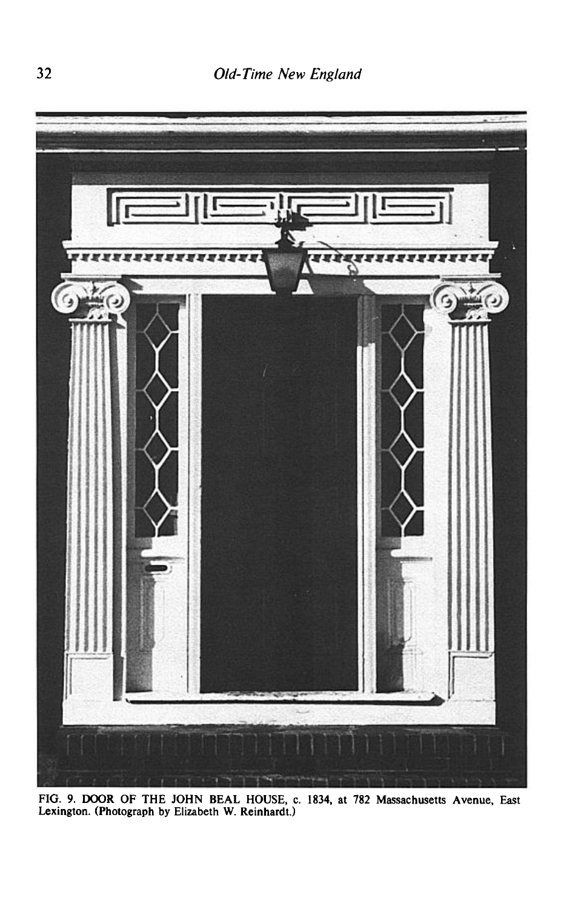

**FIG. 9. DOOR OF THE JOHN BEAL HOUSE, c. 1834, at 782 Massachusetts Avenue, East Lexington. (Photograph by Elizabeth W. Reinhardt.)**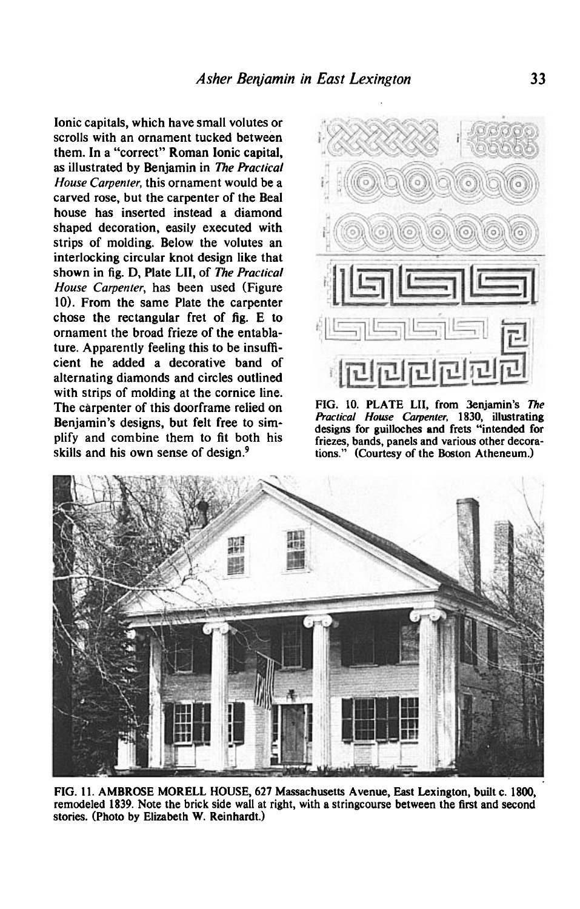**Ionic capitals, which have small volutes or scrolls with an ornament tucked between them. In a "correct" Roman Ionic capital, as illustrated by Benjamin in The Pracricul House Carpenter, this ornament would be a carved rose, but the carpenter of the Beal house has inserted instead a diamond shaped decoration, easily executed with strips of molding. Below the volutes an interlocking circular knot design like that shown in fig. D, Plate LII, of The Practical House Carpenter, has been used (Figure 10). From the same Plate the carpenter chose the rectangular fret of fig. E to ornament the broad frieze of the entablature. Apparently feeling this to be insufficient he added a decorative band of alternating diamonds and circles outlined with strips of molding at the cornice line. The carpenter of this doorframe relied on Benjamin's designs, but felt free to simplify and combine them to fit both his**  skills and his own sense of design.<sup>9</sup>



**FIG. 10. PLATE LII, from 3enjamin's The hactical House Carpenter, 1830, illustrating designs for guilleches and frets "intended for friezes, bands, panels and various other decorations." (Courtesy of the Boston Atheneum.)** 



**FIG. 11. AMBROSE MORELL HOUSE, 627 Massachusetts Avenue, East Lexington, built c. 1800, remodeled 1839. Note the brick side wall at right, with a stringcourse between the first and second stories. (Photo by Elizabeth W. Reinhardt.)**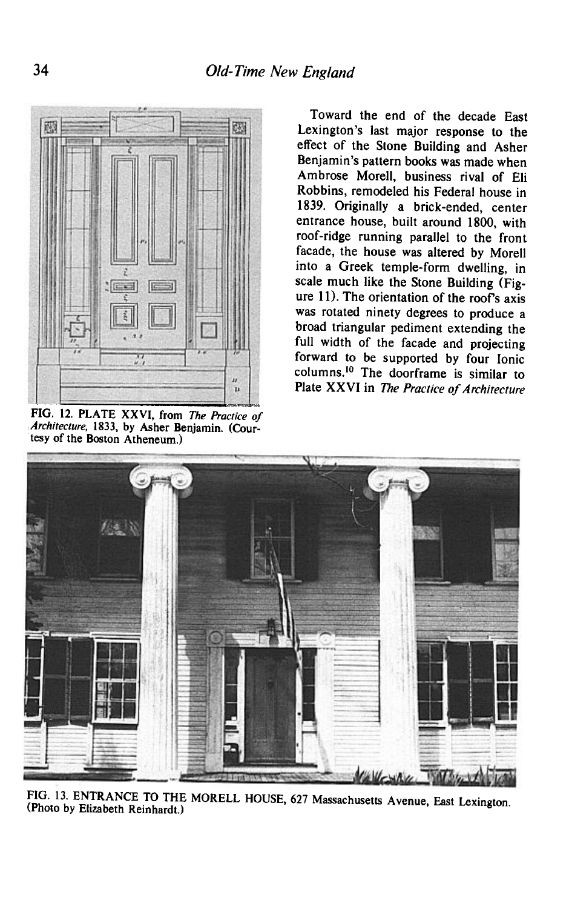

**PIG. 12. PLATE XXVI, from The Practice of**  Architecture, 1833, by Asher Benjamin. (Cour**tesy of the Boston Atheneum.)** 

**Toward the end of the decade East Lexington's last major response to the effect of the Stone Building and Asher Benjamin's pattern books was made when Ambrose Morell, business rival of Eli Robbins, remodeled his Federal house in 1839. Originally a brick-ended, center entrance house, built around 1800, with roof-ridge running parallel to the front facade, the house was altered by Morel1 into a Greek temple-form dwelling, in scale much like the Stone Building (Figure 11). The orientation of the roofs axis was rotated ninety degrees to produce a broad triangular pediment extending the full width of the facade and projecting forward to be supported by four Ionic**  columns.<sup>10</sup> The doorframe is similar to **Plate XXVI in The Practice of Architecture** 



**FIG. 13. ENTRANCE TO THE MORELL HOUSE, 627 Massachusetts Avenue, East Lexington. (Photo by Elizabeth Reinhardt.)**